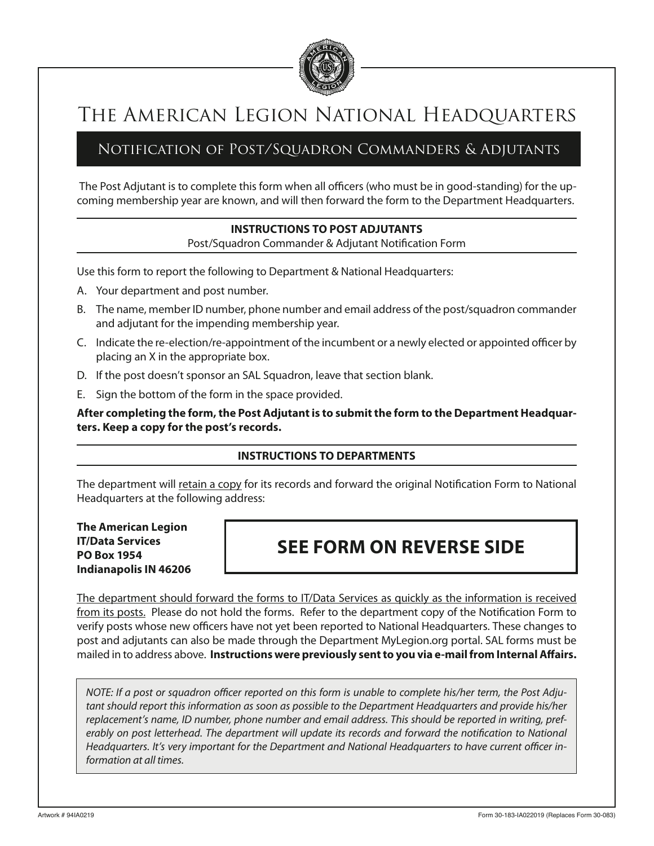

# The American Legion National Headquarters

### Notification of Post/Squadron Commanders & Adjutants

 The Post Adjutant is to complete this form when all officers (who must be in good-standing) for the upcoming membership year are known, and will then forward the form to the Department Headquarters.

#### **INSTRUCTIONS TO POST ADJUTANTS**

Post/Squadron Commander & Adjutant Notification Form

Use this form to report the following to Department & National Headquarters:

- A. Your department and post number.
- B. The name, member ID number, phone number and email address of the post/squadron commander and adjutant for the impending membership year.
- C. Indicate the re-election/re-appointment of the incumbent or a newly elected or appointed officer by placing an X in the appropriate box.
- D. If the post doesn't sponsor an SAL Squadron, leave that section blank.
- E. Sign the bottom of the form in the space provided.

**After completing the form, the Post Adjutant is to submit the form to the Department Headquarters. Keep a copy for the post's records.**

#### **INSTRUCTIONS TO DEPARTMENTS**

The department will retain a copy for its records and forward the original Notification Form to National Headquarters at the following address:

**The American Legion IT/Data Services PO Box 1954 Indianapolis IN 46206**

## **SEE FORM ON REVERSE SIDE**

The department should forward the forms to IT/Data Services as quickly as the information is received from its posts. Please do not hold the forms. Refer to the department copy of the Notification Form to verify posts whose new officers have not yet been reported to National Headquarters. These changes to post and adjutants can also be made through the Department MyLegion.org portal. SAL forms must be mailed in to address above. **Instructions were previously sent to you via e-mail from Internal Affairs.**

*NOTE: If a post or squadron officer reported on this form is unable to complete his/her term, the Post Adjutant should report this information as soon as possible to the Department Headquarters and provide his/her replacement's name, ID number, phone number and email address. This should be reported in writing, preferably on post letterhead. The department will update its records and forward the notification to National Headquarters. It's very important for the Department and National Headquarters to have current officer information at all times.*